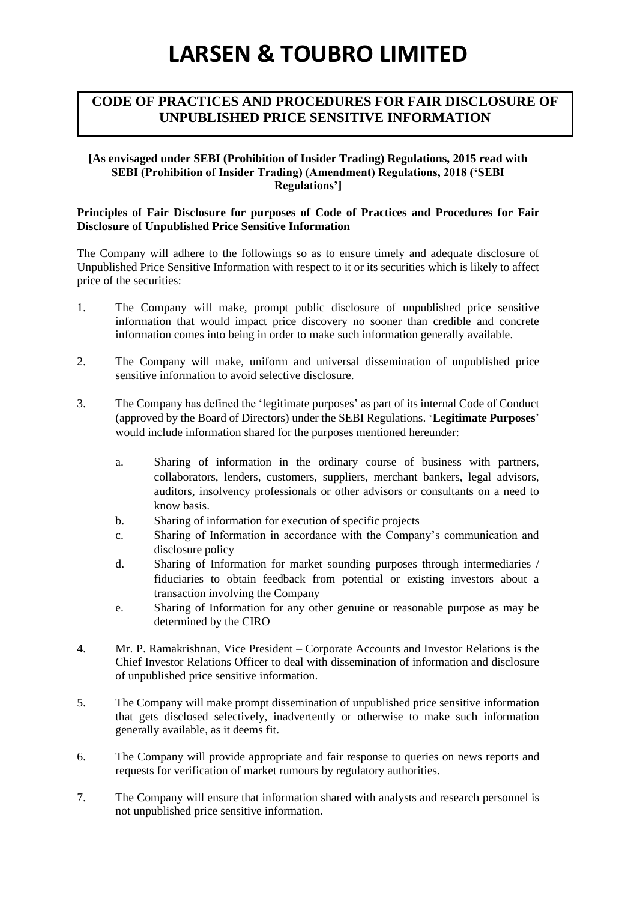# **LARSEN & TOUBRO LIMITED**

### **CODE OF PRACTICES AND PROCEDURES FOR FAIR DISCLOSURE OF UNPUBLISHED PRICE SENSITIVE INFORMATION**

#### **[As envisaged under SEBI (Prohibition of Insider Trading) Regulations, 2015 read with SEBI (Prohibition of Insider Trading) (Amendment) Regulations, 2018 ('SEBI Regulations']**

#### **Principles of Fair Disclosure for purposes of Code of Practices and Procedures for Fair Disclosure of Unpublished Price Sensitive Information**

The Company will adhere to the followings so as to ensure timely and adequate disclosure of Unpublished Price Sensitive Information with respect to it or its securities which is likely to affect price of the securities:

- 1. The Company will make, prompt public disclosure of unpublished price sensitive information that would impact price discovery no sooner than credible and concrete information comes into being in order to make such information generally available.
- 2. The Company will make, uniform and universal dissemination of unpublished price sensitive information to avoid selective disclosure.
- 3. The Company has defined the 'legitimate purposes' as part of its internal Code of Conduct (approved by the Board of Directors) under the SEBI Regulations. '**Legitimate Purposes**' would include information shared for the purposes mentioned hereunder:
	- a. Sharing of information in the ordinary course of business with partners, collaborators, lenders, customers, suppliers, merchant bankers, legal advisors, auditors, insolvency professionals or other advisors or consultants on a need to know basis.
	- b. Sharing of information for execution of specific projects
	- c. Sharing of Information in accordance with the Company's communication and disclosure policy
	- d. Sharing of Information for market sounding purposes through intermediaries / fiduciaries to obtain feedback from potential or existing investors about a transaction involving the Company
	- e. Sharing of Information for any other genuine or reasonable purpose as may be determined by the CIRO
- 4. Mr. P. Ramakrishnan, Vice President Corporate Accounts and Investor Relations is the Chief Investor Relations Officer to deal with dissemination of information and disclosure of unpublished price sensitive information.
- 5. The Company will make prompt dissemination of unpublished price sensitive information that gets disclosed selectively, inadvertently or otherwise to make such information generally available, as it deems fit.
- 6. The Company will provide appropriate and fair response to queries on news reports and requests for verification of market rumours by regulatory authorities.
- 7. The Company will ensure that information shared with analysts and research personnel is not unpublished price sensitive information.